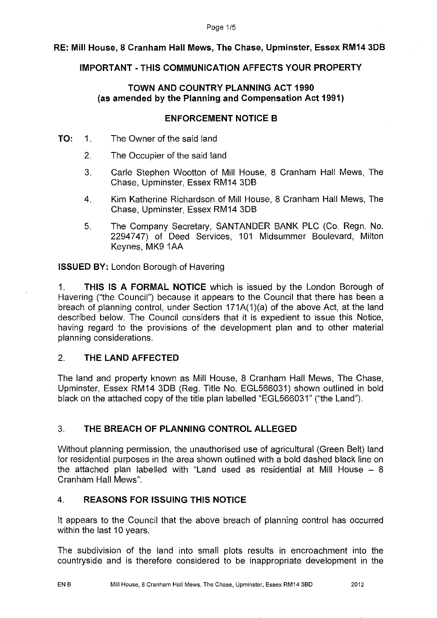# **RE: Mill House, 8 Cranham Hall Mews, The Chase, Upminster, Essex RM14 3DB**

# **IMPORTANT - THIS COMMUNICATION AFFECTS YOUR PROPERTY**

## **TOWN AND COUNTRY PLANNING ACT 1990 (as amended by the Planning and Compensation Act 1991)**

## **ENFORCEMENT NOTICE B**

- **TO:** 1. The Owner of the said land
	- 2. The Occupier of the said land
	- 3. Carle Stephen Wootton of Mill House, 8 Cranham Hall Mews, The Chase, Upminster, Essex RM14 3DB
	- 4. Kim Katherine Richardson of Mill House, 8 Cranham Hall Mews, The Chase, Upminster, Essex RM14 3DB
	- 5. The Company Secretary, SANTANDER BANK PLC (Co. Regn. No. 2294747) of Deed Services, 101 Midsummer Boulevard, Milton Keynes, MK9 1AA

**ISSUED BY:** London Borough of Havering

1. **THIS IS A FORMAL NOTICE** which is issued by the London Borough of Havering ("the Council") because it appears to the Council that there has been a breach of planning control, under Section 171A(1)(a) of the above Act, at the land described below. The Council considers that it is expedient to issue this Notice, having regard to the provisions of the development plan and to other material planning considerations.

### 2. **THE LAND AFFECTED**

The land and property known as Mill House, 8 Cranham Hall Mews, The Chase, Upminster, Essex RM14 3DB (Reg. Title No. EGL566031) shown outlined in bold black on the attached copy of the title plan labelled "EGL566031" ("the Land").

# 3. **THE BREACH OF PLANNING CONTROL ALLEGED**

Without planning permission, the unauthorised use of agricultural (Green Belt) land for residential purposes in the area shown outlined with a bold dashed black line on the attached plan labelled with "Land used as residential at **Mill** House - 8 Cranham Hall Mews".

# 4. **REASONS FOR ISSUING THIS NOTICE**

It appears to the Council that the above breach of planning control has occurred within the last 10 years.

The subdivision of the land into small plots results in encroachment into the countryside and is therefore considered to be inappropriate development in the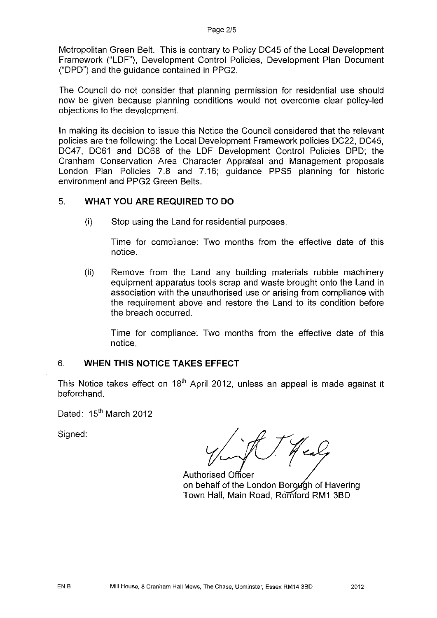Metropolitan Green Belt. This is contrary to Policy DC45 of the Local Development Framework ("LDF"), Development Control Policies, Development Plan Document ("DPD") and the guidance contained in PPG2.

The Council do not consider that planning permission for residential use should now be given because planning conditions would not overcome clear policy-led objections to the development.

In making its decision to issue this Notice the Council considered that the relevant policies are the following: the Local Development Framework policies DC22, DC45, DC47, DC61 and DC68 of the LDF Development Control Policies DPD; the Cranham Conservation Area Character Appraisal and Management proposals London Plan Policies 7.8 and 7.16; guidance PPS5 planning for historic environment and PPG2 Green Belts.

### 5. **WHAT YOU ARE REQUIRED TO DO**

(i) Stop using the Land for residential purposes.

Time for compliance: Two months from the effective date of this notice.

(ii) Remove from the Land any building materials rubble machinery equipment apparatus tools scrap and waste brought onto the Land in association with the unauthorised use or arising from compliance with the requirement above and restore the Land to its condition before the breach occurred.

Time for compliance: Two months from the effective date of this notice.

# 6. **WHEN THIS NOTICE TAKES EFFECT**

This Notice takes effect on  $18<sup>th</sup>$  April 2012, unless an appeal is made against it beforehand.

Dated: 15<sup>th</sup> March 2012

Signed:

Healy

Authorised Officer on behalf of the London Borough of Havering Town Hall, Main Road, Romford RM1 3BD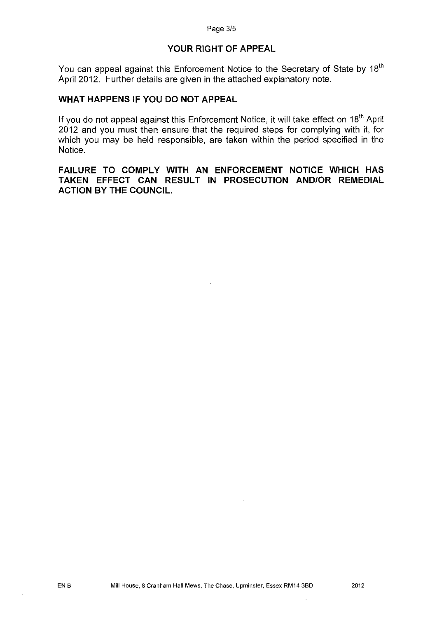### **YOUR RIGHT OF APPEAL**

You can appeal against this Enforcement Notice to the Secretary of State by 18<sup>th</sup> April 2012. Further details are given in the attached explanatory note.

# **WHAT HAPPENS IF YOU DO NOT APPEAL**

If you do not appeal against this Enforcement Notice, it will take effect on 18<sup>th</sup> April 2012 and you must then ensure that the required steps for complying with it, for which you may be held responsible, are taken within the period specified in the Notice.

**FAILURE TO COMPLY WITH AN ENFORCEMENT NOTICE WHICH HAS TAKEN EFFECT CAN RESULT IN PROSECUTION AND/OR REMEDIAL ACTION BY THE COUNCIL.**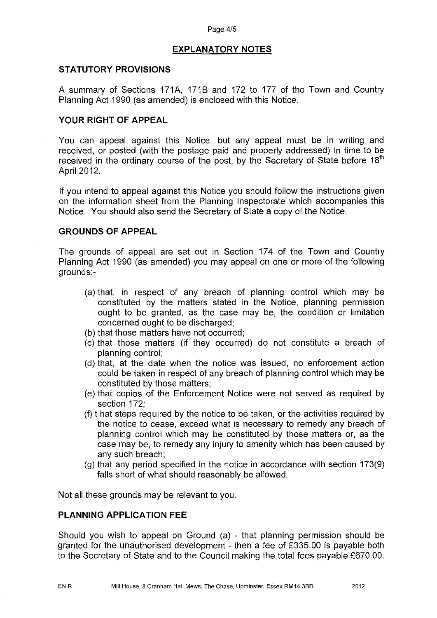#### Page 4/5

#### **EXPLANATORY NOTES**

#### **STATUTORY PROVISIONS**

A summary of Sections 171A, 171B and 172 to 177 of the Town and Country Planning Act 1990 (as amended) is enclosed with this Notice.

#### **YOUR RIGHT OF APPEAL**

You can appeal against this Notice, but any appeal must be in writing and received, or posted (with the postage paid and properly addressed) in time to be received in the ordinary course of the post, by the Secretary of State before  $18<sup>th</sup>$ April 2012.

If you intend to appeal against this Notice you should follow the instructions given on the information sheet from the Planning Inspectorate which accompanies this Notice. You should also send the Secretary of State a copy of the Notice.

#### **GROUNDS OF APPEAL**

The grounds of appeal are set out in Section 174 of the Town and Country Planning Act 1990 (as amended) you may appeal on one or more of the following grounds:-

- (a) that, in respect of any breach of planning control which may be constituted by the matters stated in the Notice, planning permission ought to be granted, as the case may be, the condition or limitation concerned ought to be discharged;
- (b) that those matters have not occurred;
- (c) that those matters (if they occurred) do not constitute a breach of planning control;
- (d) that, at the date when the notice was issued, no enforcement action could be taken in respect of any breach of planning control which may be constituted by those matters;
- (e) that copies of the Enforcement Notice were not served as required by section 172;
- (f) t hat steps required by the notice to be taken, or the activities required by the notice to cease, exceed what is necessary to remedy any breach of planning control which may be constituted by those matters or, as the case may be, to remedy any injury to amenity which has been caused by any such breach;
- (g) that any period specified in the notice in accordance with section 173(9) falls short of what should reasonably be allowed.

Not all these grounds may be relevant to you.

### **PLANNING APPLICATION FEE**

Should you wish to appeal on Ground (a) - that planning permission should be granted for the unauthorised development - then a fee of £335.00 is payable both to the Secretary of State and to the Council making the total fees payable £670.00.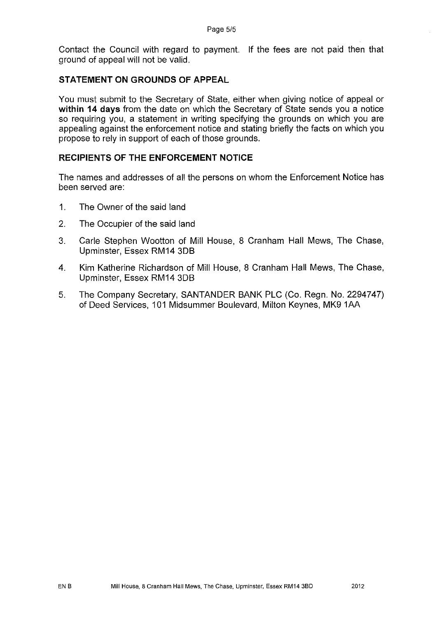Contact the Council with regard to payment. If the fees are not paid then that ground of appeal will not be valid.

#### **STATEMENT ON GROUNDS OF APPEAL**

You must submit to the Secretary of State, either when giving notice of appeal or **within 14 days** from the date on which the Secretary of State sends you a notice so requiring you, a statement in writing specifying the grounds on which you are appealing against the enforcement notice and stating briefly the facts on which you propose to rely in support of each of those grounds.

### **RECIPIENTS OF THE ENFORCEMENT NOTICE**

The names and addresses of all the persons on whom the Enforcement Notice has been served are:

- 1. The Owner of the said land
- 2. The Occupier of the said land
- 3. Carle Stephen Wootton of Mill House, 8 Cranham Hall Mews, The Chase, Upminster, Essex RM14 3DB
- 4. Kim Katherine Richardson of Mill House, 8 Cranham Hall Mews, The Chase, Upminster, Essex RM14 3DB
- 5. The Company Secretary, SANTANDER BANK PLC (Co. Regn. No. 2294747) of Deed Services, 101 Midsummer Boulevard, Milton Keynes, MK9 1AA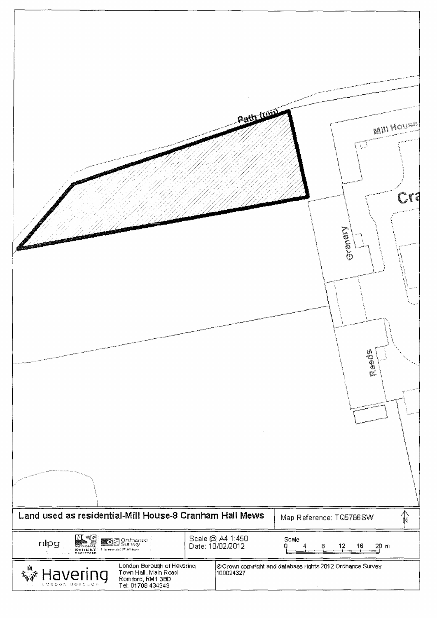